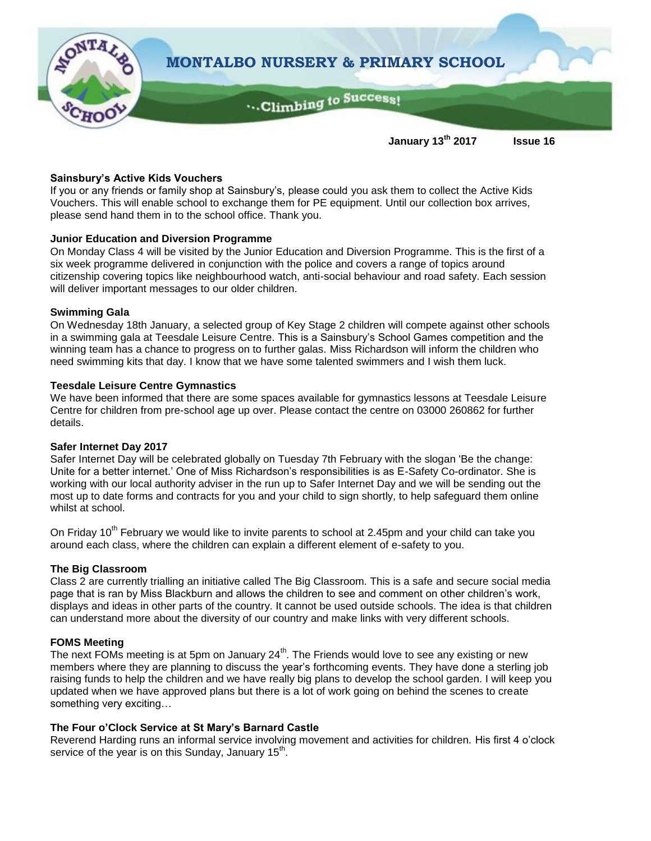

#### **Sainsbury's Active Kids Vouchers**

If you or any friends or family shop at Sainsbury's, please could you ask them to collect the Active Kids Vouchers. This will enable school to exchange them for PE equipment. Until our collection box arrives, please send hand them in to the school office. Thank you.

### **Junior Education and Diversion Programme**

On Monday Class 4 will be visited by the Junior Education and Diversion Programme. This is the first of a six week programme delivered in conjunction with the police and covers a range of topics around citizenship covering topics like neighbourhood watch, anti-social behaviour and road safety. Each session will deliver important messages to our older children.

#### **Swimming Gala**

On Wednesday 18th January, a selected group of Key Stage 2 children will compete against other schools in a swimming gala at Teesdale Leisure Centre. This is a Sainsbury's School Games competition and the winning team has a chance to progress on to further galas. Miss Richardson will inform the children who need swimming kits that day. I know that we have some talented swimmers and I wish them luck.

#### **Teesdale Leisure Centre Gymnastics**

We have been informed that there are some spaces available for gymnastics lessons at Teesdale Leisure Centre for children from pre-school age up over. Please contact the centre on 03000 260862 for further details.

#### **Safer Internet Day 2017**

Safer Internet Day will be celebrated globally on Tuesday 7th February with the slogan 'Be the change: Unite for a better internet.' One of Miss Richardson's responsibilities is as E-Safety Co-ordinator. She is working with our local authority adviser in the run up to Safer Internet Day and we will be sending out the most up to date forms and contracts for you and your child to sign shortly, to help safeguard them online whilst at school.

On Friday 10<sup>th</sup> February we would like to invite parents to school at 2.45pm and your child can take you around each class, where the children can explain a different element of e-safety to you.

### **The Big Classroom**

Class 2 are currently trialling an initiative called The Big Classroom. This is a safe and secure social media page that is ran by Miss Blackburn and allows the children to see and comment on other children's work, displays and ideas in other parts of the country. It cannot be used outside schools. The idea is that children can understand more about the diversity of our country and make links with very different schools.

### **FOMS Meeting**

The next FOMs meeting is at 5pm on January  $24<sup>th</sup>$ . The Friends would love to see any existing or new members where they are planning to discuss the year's forthcoming events. They have done a sterling job raising funds to help the children and we have really big plans to develop the school garden. I will keep you updated when we have approved plans but there is a lot of work going on behind the scenes to create something very exciting…

### **The Four o'Clock Service at St Mary's Barnard Castle**

Reverend Harding runs an informal service involving movement and activities for children. His first 4 o'clock service of the year is on this Sunday, January  $15^{th}$ .